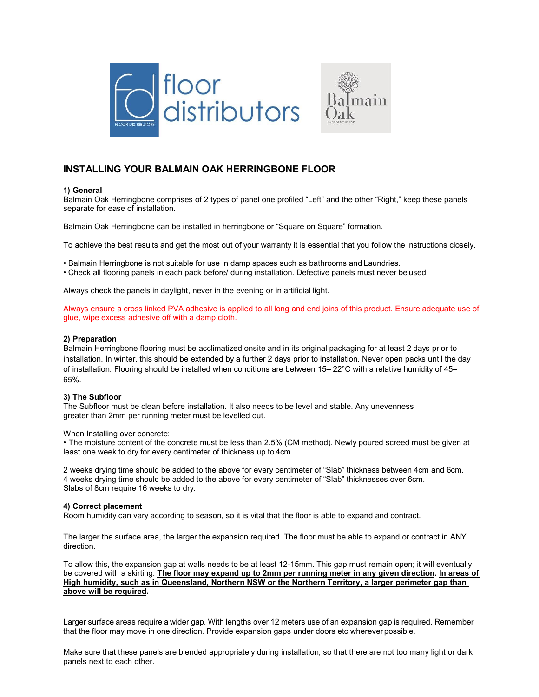



# **INSTALLING YOUR BALMAIN OAK HERRINGBONE FLOOR**

#### **1) General**

Balmain Oak Herringbone comprises of 2 types of panel one profiled "Left" and the other "Right," keep these panels separate for ease of installation.

Balmain Oak Herringbone can be installed in herringbone or "Square on Square" formation.

To achieve the best results and get the most out of your warranty it is essential that you follow the instructions closely.

• Balmain Herringbone is not suitable for use in damp spaces such as bathrooms and Laundries.

• Check all flooring panels in each pack before/ during installation. Defective panels must never be used.

Always check the panels in daylight, never in the evening or in artificial light.

Always ensure a cross linked PVA adhesive is applied to all long and end joins of this product. Ensure adequate use of glue, wipe excess adhesive off with a damp cloth.

#### **2) Preparation**

Balmain Herringbone flooring must be acclimatized onsite and in its original packaging for at least 2 days prior to installation. In winter, this should be extended by a further 2 days prior to installation. Never open packs until the day of installation. Flooring should be installed when conditions are between 15– 22°C with a relative humidity of 45– 65%.

#### **3) The Subfloor**

The Subfloor must be clean before installation. It also needs to be level and stable. Any unevenness greater than 2mm per running meter must be levelled out.

When Installing over concrete:

• The moisture content of the concrete must be less than 2.5% (CM method). Newly poured screed must be given at least one week to dry for every centimeter of thickness up to 4cm.

2 weeks drying time should be added to the above for every centimeter of "Slab" thickness between 4cm and 6cm. 4 weeks drying time should be added to the above for every centimeter of "Slab" thicknesses over 6cm. Slabs of 8cm require 16 weeks to dry.

#### **4) Correct placement**

Room humidity can vary according to season, so it is vital that the floor is able to expand and contract.

The larger the surface area, the larger the expansion required. The floor must be able to expand or contract in ANY direction.

To allow this, the expansion gap at walls needs to be at least 12-15mm. This gap must remain open; it will eventually be covered with a skirting. **The floor may expand up to 2mm per running meter in any given direction. In areas of High humidity, such as in Queensland, Northern NSW or the Northern Territory, a larger perimeter gap than above will be required.**

Larger surface areas require a wider gap. With lengths over 12 meters use of an expansion gap is required. Remember that the floor may move in one direction. Provide expansion gaps under doors etc whereverpossible.

Make sure that these panels are blended appropriately during installation, so that there are not too many light or dark panels next to each other.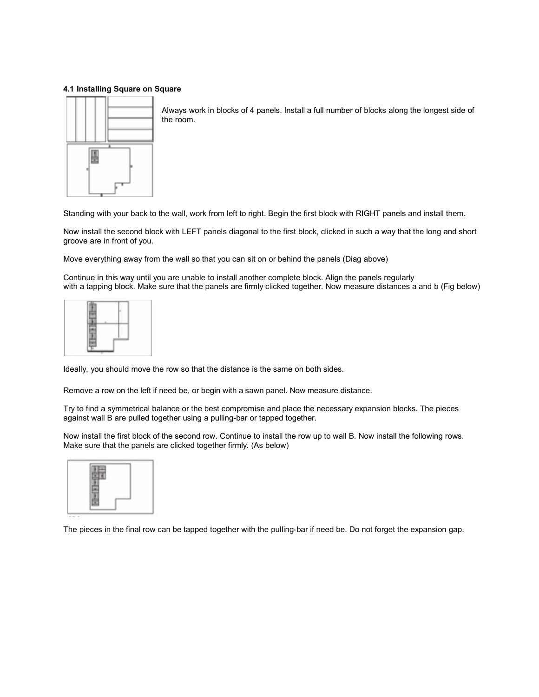## **4.1 Installing Square on Square**



Always work in blocks of 4 panels. Install a full number of blocks along the longest side of the room.

Standing with your back to the wall, work from left to right. Begin the first block with RIGHT panels and install them.

Now install the second block with LEFT panels diagonal to the first block, clicked in such a way that the long and short groove are in front of you.

Move everything away from the wall so that you can sit on or behind the panels (Diag above)

Continue in this way until you are unable to install another complete block. Align the panels regularly with a tapping block. Make sure that the panels are firmly clicked together. Now measure distances a and b (Fig below)

| ٠<br>÷<br>Y.                                 | ĸ           |  |
|----------------------------------------------|-------------|--|
| í<br>۰<br>ý<br>ł.                            | ï<br>t.     |  |
| ۰<br>$\overline{\phantom{a}}$<br>۰<br>ł<br>à | $\sim$<br>÷ |  |

Ideally, you should move the row so that the distance is the same on both sides.

Remove a row on the left if need be, or begin with a sawn panel. Now measure distance.

Try to find a symmetrical balance or the best compromise and place the necessary expansion blocks. The pieces against wall B are pulled together using a pulling-bar or tapped together.

Now install the first block of the second row. Continue to install the row up to wall B. Now install the following rows. Make sure that the panels are clicked together firmly. (As below)



The pieces in the final row can be tapped together with the pulling-bar if need be. Do not forget the expansion gap.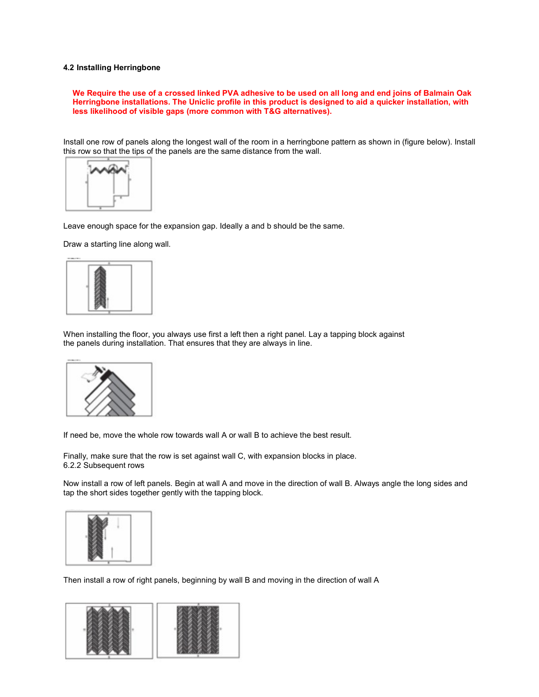#### **4.2 Installing Herringbone**

**We Require the use of a crossed linked PVA adhesive to be used on all long and end joins of Balmain Oak Herringbone installations. The Uniclic profile in this product is designed to aid a quicker installation, with less likelihood of visible gaps (more common with T&G alternatives).** 

Install one row of panels along the longest wall of the room in a herringbone pattern as shown in (figure below). Install this row so that the tips of the panels are the same distance from the wall.



Leave enough space for the expansion gap. Ideally a and b should be the same.

Draw a starting line along wall.



When installing the floor, you always use first a left then a right panel. Lay a tapping block against the panels during installation. That ensures that they are always in line.



If need be, move the whole row towards wall A or wall B to achieve the best result.

Finally, make sure that the row is set against wall C, with expansion blocks in place. 6.2.2 Subsequent rows

Now install a row of left panels. Begin at wall A and move in the direction of wall B. Always angle the long sides and tap the short sides together gently with the tapping block.



Then install a row of right panels, beginning by wall B and moving in the direction of wall A